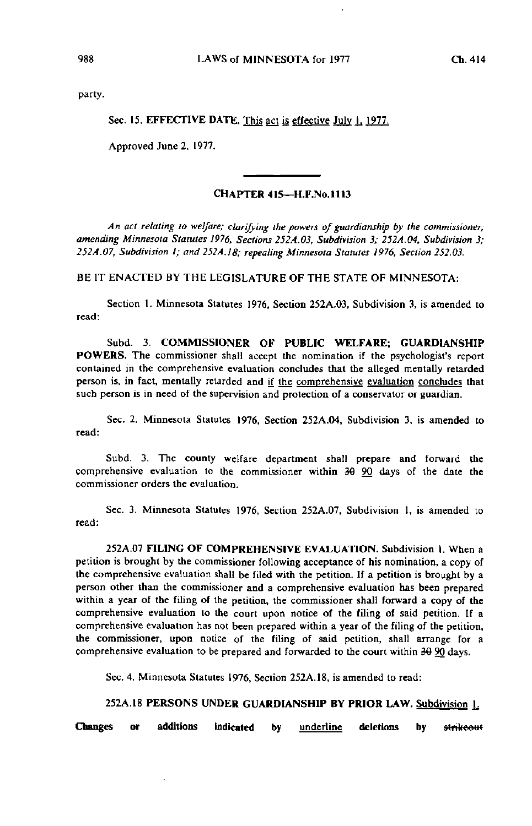party.

Sec. 15. EFFECTIVE DATE. This act is effective July 1, 1977.

Approved June 2, 1977.

## CHAPTER 415—H.F.No.1113

An act relating to welfare; clarifying the powers of guardianship by the commissioner; amending Minnesota Statutes 1976, Sections 252A.03, Subdivision 3; 252A.Q4, Subdivision 3; 252A.07, Subdivision 1; and 252A.18; repealing Minnesota Statutes 1976, Section 252.03.

BE IT ENACTED BY THE LEGISLATURE OF THE STATE OF MINNESOTA:

Section I. Minnesota Statutes 1976, Section 252A.03, Subdivision 3, is amended to read:

Subd. 3. COMMISSIONER OF PUBLIC WELFARE; GUARDIANSHIP POWERS. The commissioner shall accept the nomination if the psychologist's report contained in the comprehensive evaluation concludes that the alleged mentally retarded person is, in fact, mentally retarded and if the comprehensive evaluation concludes that such person is in need of the supervision and protection of a conservator or guardian.

Sec. 2. Minnesota Statutes 1976, Section 252A.04, Subdivision 3, is amended to read:

Subd. 3. The county welfare department shall prepare and forward the comprehensive evaluation to the commissioner within 30 90 days of the date the commissioner orders the evaluation.

Sec. 3. Minnesota Statutes 1976, Section 252A.07, Subdivision 1, is amended to read:

252A.07 FILING OF COMPREHENSIVE EVALUATION. Subdivision I. When a petition is brought by the commissioner following acceptance of his nomination, a copy of the comprehensive evaluation shall be filed with the petition. If a petition is brought by a person other than the commissioner and a comprehensive evaluation has been prepared within a year of the filing of the petition, the commissioner shall forward a copy of the comprehensive evaluation to the court upon notice of the filing of said petition. If a comprehensive evaluation has not been prepared within a year of the filing of the petition, the commissioner, upon notice of the filing of said petition, shall arrange for a comprehensive evaluation to be prepared and forwarded to the court within 39 90 days.

Sec. 4. Minnesota Statutes 1976, Section 252A. 18, is amended to read:

## 252A.18 PERSONS UNDER GUARDIANSHIP BY PRIOR LAW. Subdivision 1.

Changes or additions indicated by **underline** deletions by strikeout